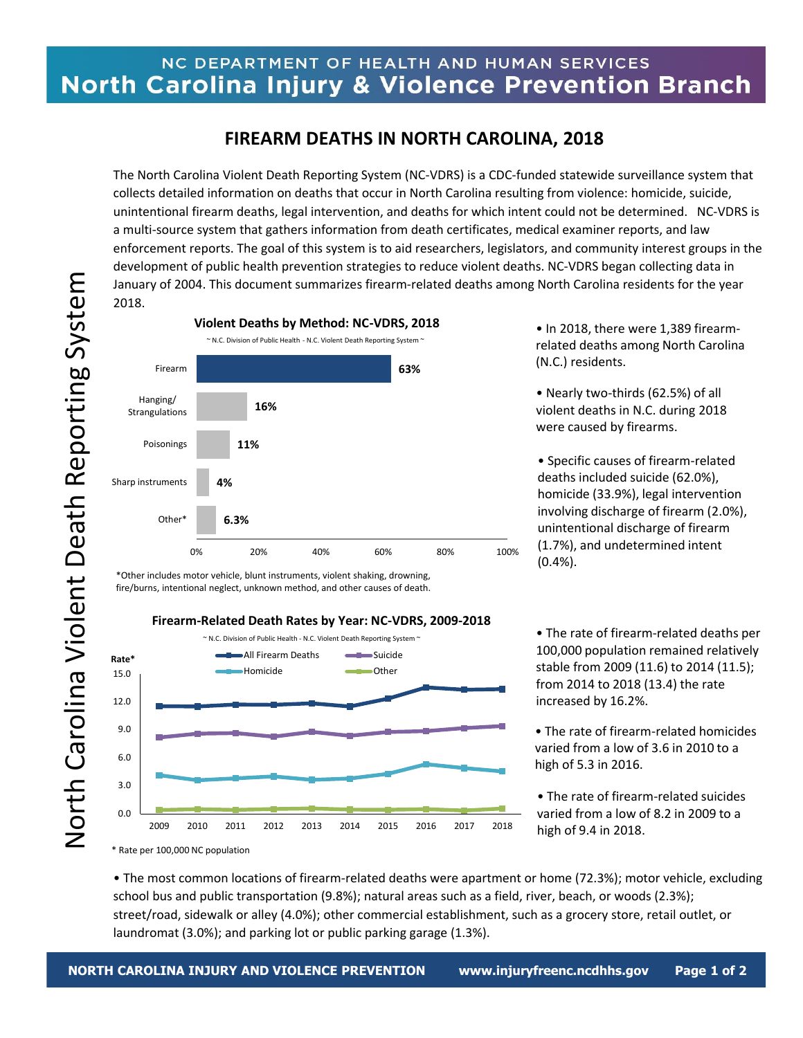## NC DEPARTMENT OF HEALTH AND HUMAN SERVICES North Carolina Injury & Violence Prevention Branch

## **FIREARM DEATHS IN NORTH CAROLINA, 2018**

The North Carolina Violent Death Reporting System (NC-VDRS) is a CDC-funded statewide surveillance system that collects detailed information on deaths that occur in North Carolina resulting from violence: homicide, suicide, unintentional firearm deaths, legal intervention, and deaths for which intent could not be determined. NC-VDRS is a multi-source system that gathers information from death certificates, medical examiner reports, and law enforcement reports. The goal of this system is to aid researchers, legislators, and community interest groups in the development of public health prevention strategies to reduce violent deaths. NC-VDRS began collecting data in January of 2004. This document summarizes firearm-related deaths among North Carolina residents for the year 2018.



• In 2018, there were 1,389 firearmrelated deaths among North Carolina (N.C.) residents.

• Nearly two-thirds (62.5%) of all violent deaths in N.C. during 2018 were caused by firearms.

• Specific causes of firearm-related deaths included suicide (62.0%), homicide (33.9%), legal intervention involving discharge of firearm (2.0%), unintentional discharge of firearm (1.7%), and undetermined intent (0.4%).

\*Other includes motor vehicle, blunt instruments, violent shaking, drowning, fire/burns, intentional neglect, unknown method, and other causes of death.

## **Firearm-Related Death Rates by Year: NC-VDRS, 2009-2018**



• The rate of firearm-related deaths per 100,000 population remained relatively stable from 2009 (11.6) to 2014 (11.5); from 2014 to 2018 (13.4) the rate increased by 16.2%.

- The rate of firearm-related homicides varied from a low of 3.6 in 2010 to a high of 5.3 in 2016.
- The rate of firearm-related suicides varied from a low of 8.2 in 2009 to a high of 9.4 in 2018.

• The most common locations of firearm-related deaths were apartment or home (72.3%); motor vehicle, excluding school bus and public transportation (9.8%); natural areas such as a field, river, beach, or woods (2.3%); street/road, sidewalk or alley (4.0%); other commercial establishment, such as a grocery store, retail outlet, or laundromat (3.0%); and parking lot or public parking garage (1.3%).

<sup>\*</sup> Rate per 100,000 NC population